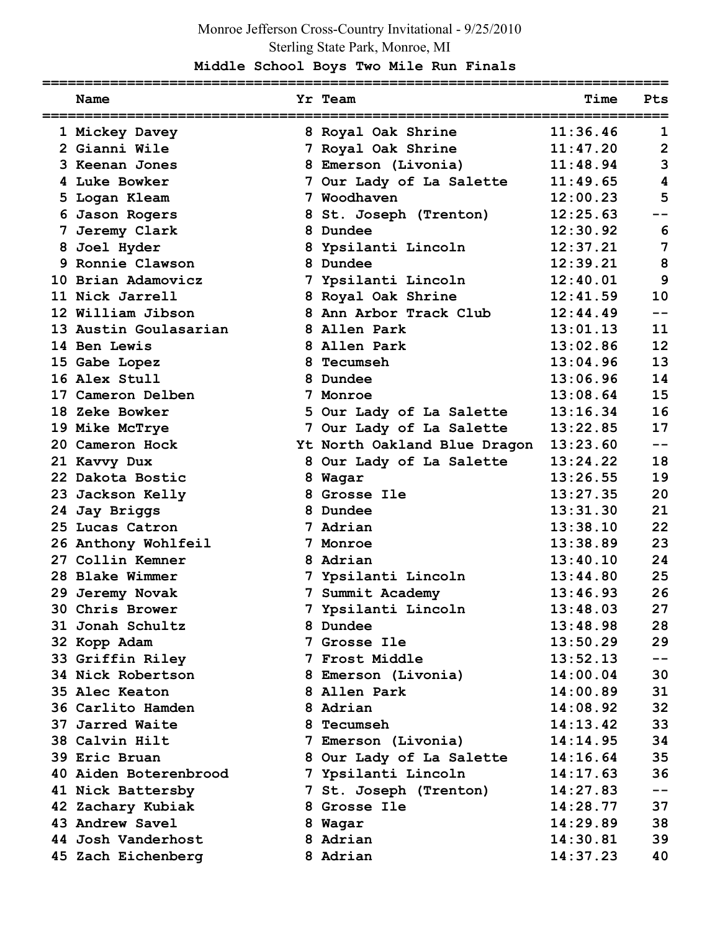## Monroe Jefferson Cross-Country Invitational - 9/25/2010 Sterling State Park, Monroe, MI

## **Middle School Boys Two Mile Run Finals**

| Name                  |    | Yr Team                      | Time     | Pts            |
|-----------------------|----|------------------------------|----------|----------------|
| 1 Mickey Davey        |    | 8 Royal Oak Shrine           | 11:36.46 | 1              |
| 2 Gianni Wile         |    | 7 Royal Oak Shrine           | 11:47.20 | $\overline{2}$ |
| 3 Keenan Jones        |    | 8 Emerson (Livonia)          | 11:48.94 | 3              |
| 4 Luke Bowker         |    | 7 Our Lady of La Salette     | 11:49.65 | 4              |
| 5 Logan Kleam         |    | 7 Woodhaven                  | 12:00.23 | 5              |
| 6 Jason Rogers        |    | 8 St. Joseph (Trenton)       | 12:25.63 |                |
| 7 Jeremy Clark        |    | 8 Dundee                     | 12:30.92 | 6              |
| 8 Joel Hyder          |    | 8 Ypsilanti Lincoln          | 12:37.21 | 7              |
| 9 Ronnie Clawson      |    | 8 Dundee                     | 12:39.21 | 8              |
| 10 Brian Adamovicz    |    | 7 Ypsilanti Lincoln          | 12:40.01 | 9              |
| 11 Nick Jarrell       |    | 8 Royal Oak Shrine           | 12:41.59 | 10             |
| 12 William Jibson     |    | 8 Ann Arbor Track Club       | 12:44.49 | --             |
| 13 Austin Goulasarian |    | 8 Allen Park                 | 13:01.13 | 11             |
| 14 Ben Lewis          |    | 8 Allen Park                 | 13:02.86 | 12             |
| 15 Gabe Lopez         | 8. | Tecumseh                     | 13:04.96 | 13             |
| 16 Alex Stull         |    | 8 Dundee                     | 13:06.96 | 14             |
| 17 Cameron Delben     |    | 7 Monroe                     | 13:08.64 | 15             |
| 18 Zeke Bowker        |    | 5 Our Lady of La Salette     | 13:16.34 | 16             |
| 19 Mike McTrye        |    | 7 Our Lady of La Salette     | 13:22.85 | 17             |
| 20 Cameron Hock       |    | Yt North Oakland Blue Dragon | 13:23.60 | --             |
| 21 Kavvy Dux          |    | 8 Our Lady of La Salette     | 13:24.22 | 18             |
| 22 Dakota Bostic      |    | 8 Wagar                      | 13:26.55 | 19             |
| 23 Jackson Kelly      |    | 8 Grosse Ile                 | 13:27.35 | 20             |
| 24 Jay Briggs         |    | 8 Dundee                     | 13:31.30 | 21             |
| 25 Lucas Catron       |    | 7 Adrian                     | 13:38.10 | 22             |
| 26 Anthony Wohlfeil   | 7  | Monroe                       | 13:38.89 | 23             |
| 27 Collin Kemner      |    | 8 Adrian                     | 13:40.10 | 24             |
| 28 Blake Wimmer       |    | 7 Ypsilanti Lincoln          | 13:44.80 | 25             |
| 29 Jeremy Novak       |    | 7 Summit Academy             | 13:46.93 | 26             |
| 30 Chris Brower       |    | 7 Ypsilanti Lincoln          | 13:48.03 | 27             |
| 31 Jonah Schultz      |    | 8 Dundee                     | 13:48.98 | 28             |
| 32 Kopp Adam          |    | 7 Grosse Ile                 | 13:50.29 | 29             |
| 33 Griffin Riley      |    | 7 Frost Middle               | 13:52.13 | $- -$          |
| 34 Nick Robertson     |    | 8 Emerson (Livonia)          | 14:00.04 | 30             |
| 35 Alec Keaton        |    | 8 Allen Park                 | 14:00.89 | 31             |
| 36 Carlito Hamden     |    | 8 Adrian                     | 14:08.92 | 32             |
| 37 Jarred Waite       |    | 8 Tecumseh                   | 14:13.42 | 33             |
| 38 Calvin Hilt        |    | 7 Emerson (Livonia)          | 14:14.95 | 34             |
| 39 Eric Bruan         |    | 8 Our Lady of La Salette     | 14:16.64 | 35             |
| 40 Aiden Boterenbrood |    | 7 Ypsilanti Lincoln          | 14:17.63 | 36             |
| 41 Nick Battersby     |    | 7 St. Joseph (Trenton)       | 14:27.83 | $- -$          |
| 42 Zachary Kubiak     |    | 8 Grosse Ile                 | 14:28.77 | 37             |
| 43 Andrew Savel       |    | 8 Wagar                      | 14:29.89 | 38             |
| 44 Josh Vanderhost    |    | 8 Adrian                     | 14:30.81 | 39             |
| 45 Zach Eichenberg    |    | 8 Adrian                     | 14:37.23 | 40             |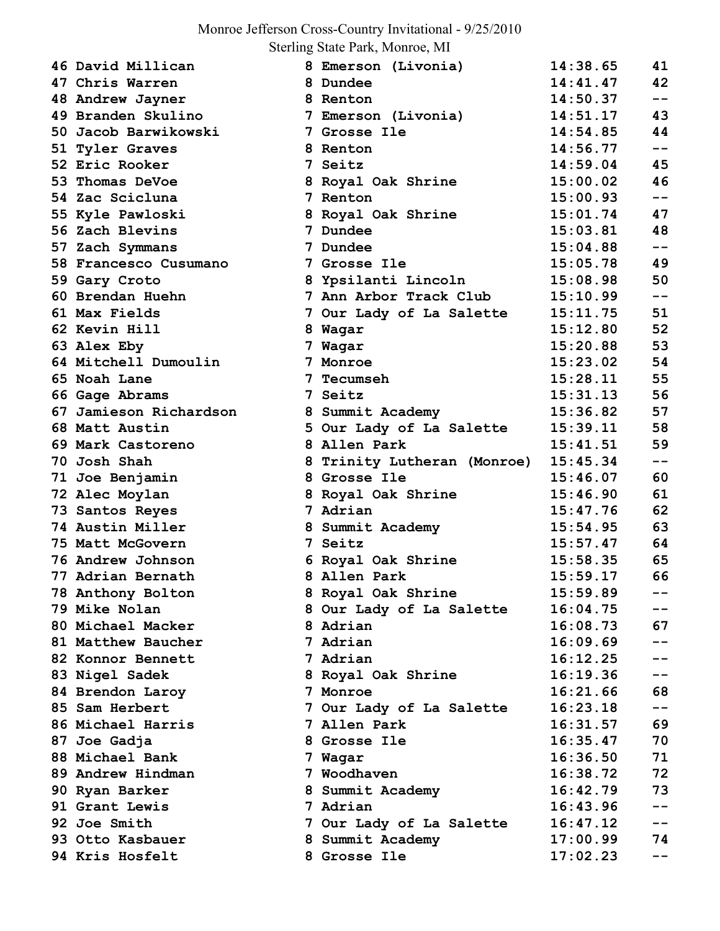## Monroe Jefferson Cross-Country Invitational - 9/25/2010

Sterling State Park, Monroe, MI

| 46 David Millican      | 8 Emerson (Livonia)         | 14:38.65 | 41    |
|------------------------|-----------------------------|----------|-------|
| 47 Chris Warren        | 8 Dundee                    | 14:41.47 | 42    |
| 48 Andrew Jayner       | 8 Renton                    | 14:50.37 | $- -$ |
| 49 Branden Skulino     | 7 Emerson (Livonia)         | 14:51.17 | 43    |
| 50 Jacob Barwikowski   | 7 Grosse Ile                | 14:54.85 | 44    |
| 51 Tyler Graves        | 8 Renton                    | 14:56.77 | $- -$ |
| 52 Eric Rooker         | 7 Seitz                     | 14:59.04 | 45    |
| 53 Thomas DeVoe        | 8 Royal Oak Shrine          | 15:00.02 | 46    |
| 54 Zac Scicluna        | 7 Renton                    | 15:00.93 | $- -$ |
| 55 Kyle Pawloski       | 8 Royal Oak Shrine          | 15:01.74 | 47    |
| 56 Zach Blevins        | 7 Dundee                    | 15:03.81 | 48    |
| 57 Zach Symmans        | <b>7 Dundee</b>             | 15:04.88 | $- -$ |
| 58 Francesco Cusumano  | 7 Grosse Ile                | 15:05.78 | 49    |
| 59 Gary Croto          | 8 Ypsilanti Lincoln         | 15:08.98 | 50    |
| 60 Brendan Huehn       | 7 Ann Arbor Track Club      | 15:10.99 | $- -$ |
| 61 Max Fields          | 7 Our Lady of La Salette    | 15:11.75 | 51    |
| 62 Kevin Hill          | 8 Wagar                     | 15:12.80 | 52    |
| 63 Alex Eby            | 7 Wagar                     | 15:20.88 | 53    |
| 64 Mitchell Dumoulin   | 7 Monroe                    | 15:23.02 | 54    |
| 65 Noah Lane           | <b>7 Tecumseh</b>           | 15:28.11 | 55    |
| 66 Gage Abrams         | 7 Seitz                     | 15:31.13 | 56    |
| 67 Jamieson Richardson | 8 Summit Academy            | 15:36.82 | 57    |
| 68 Matt Austin         | 5 Our Lady of La Salette    | 15:39.11 | 58    |
| 69 Mark Castoreno      | 8 Allen Park                | 15:41.51 | 59    |
| 70 Josh Shah           | 8 Trinity Lutheran (Monroe) | 15:45.34 | $- -$ |
| 71 Joe Benjamin        | 8 Grosse Ile                | 15:46.07 | 60    |
| 72 Alec Moylan         | 8 Royal Oak Shrine          | 15:46.90 | 61    |
| 73 Santos Reyes        | 7 Adrian                    | 15:47.76 | 62    |
| 74 Austin Miller       | 8 Summit Academy            | 15:54.95 | 63    |
| 75 Matt McGovern       | 7 Seitz                     | 15:57.47 | 64    |
| 76 Andrew Johnson      | 6 Royal Oak Shrine          | 15:58.35 | 65    |
| 77 Adrian Bernath      | 8 Allen Park                | 15:59.17 | 66    |
| 78 Anthony Bolton      | 8 Royal Oak Shrine          | 15:59.89 | $- -$ |
| 79 Mike Nolan          | 8 Our Lady of La Salette    | 16:04.75 | $- -$ |
| 80 Michael Macker      | 8 Adrian                    | 16:08.73 | 67    |
| 81 Matthew Baucher     | 7 Adrian                    | 16:09.69 | $-1$  |
| 82 Konnor Bennett      | 7 Adrian                    | 16:12.25 | $- -$ |
| 83 Nigel Sadek         | 8 Royal Oak Shrine          | 16:19.36 | $- -$ |
| 84 Brendon Laroy       | 7 Monroe                    | 16:21.66 | 68    |
| 85 Sam Herbert         | 7 Our Lady of La Salette    | 16:23.18 | $- -$ |
| 86 Michael Harris      | 7 Allen Park                | 16:31.57 | 69    |
| 87 Joe Gadja           | 8 Grosse Ile                | 16:35.47 | 70    |
| 88 Michael Bank        | 7 Wagar                     | 16:36.50 | 71    |
| 89 Andrew Hindman      | 7 Woodhaven                 | 16:38.72 | 72    |
| 90 Ryan Barker         | 8 Summit Academy            | 16:42.79 | 73    |
| 91 Grant Lewis         | 7 Adrian                    | 16:43.96 | $- -$ |
| 92 Joe Smith           | 7 Our Lady of La Salette    | 16:47.12 | $- -$ |
| 93 Otto Kasbauer       | 8 Summit Academy            | 17:00.99 | 74    |
| 94 Kris Hosfelt        | 8 Grosse Ile                | 17:02.23 |       |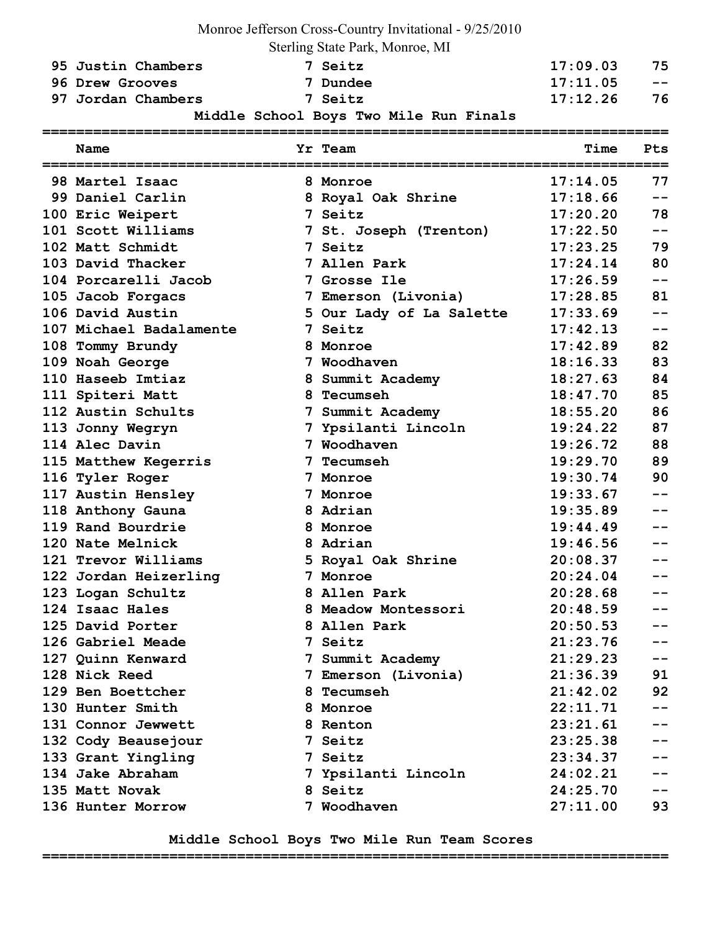|                         | Monroe Jefferson Cross-Country Invitational - 9/25/2010 |          |       |
|-------------------------|---------------------------------------------------------|----------|-------|
|                         | Sterling State Park, Monroe, MI                         |          |       |
| 95 Justin Chambers      | 7 Seitz                                                 | 17:09.03 | 75    |
| 96 Drew Grooves         | 7 Dundee                                                | 17:11.05 | --    |
| 97 Jordan Chambers      | 7 Seitz                                                 | 17:12.26 | 76    |
|                         | Middle School Boys Two Mile Run Finals                  |          |       |
| Name                    | Yr Team                                                 | Time     | Pts   |
| 98 Martel Isaac         | 8 Monroe                                                | 17:14.05 | 77    |
| 99 Daniel Carlin        | 8 Royal Oak Shrine                                      | 17:18.66 | --    |
| 100 Eric Weipert        | 7 Seitz                                                 | 17:20.20 | 78    |
| 101 Scott Williams      | 7 St. Joseph (Trenton)                                  | 17:22.50 | $ -$  |
| 102 Matt Schmidt        | 7 Seitz                                                 | 17:23.25 | 79    |
| 103 David Thacker       | 7 Allen Park                                            | 17:24.14 | 80    |
| 104 Porcarelli Jacob    | 7 Grosse Ile                                            | 17:26.59 | --    |
| 105 Jacob Forgacs       | 7 Emerson (Livonia)                                     | 17:28.85 | 81    |
| 106 David Austin        | 5 Our Lady of La Salette                                | 17:33.69 |       |
| 107 Michael Badalamente | 7 Seitz                                                 | 17:42.13 | --    |
| 108 Tommy Brundy        | 8 Monroe                                                | 17:42.89 | 82    |
| 109 Noah George         | 7 Woodhaven                                             | 18:16.33 | 83    |
| 110 Haseeb Imtiaz       | 8 Summit Academy                                        | 18:27.63 | 84    |
| 111 Spiteri Matt        | 8 Tecumseh                                              | 18:47.70 | 85    |
| 112 Austin Schults      | 7 Summit Academy                                        | 18:55.20 | 86    |
| 113 Jonny Wegryn        | 7 Ypsilanti Lincoln                                     | 19:24.22 | 87    |
| 114 Alec Davin          | 7 Woodhaven                                             | 19:26.72 | 88    |
| 115 Matthew Kegerris    | Tecumseh                                                | 19:29.70 | 89    |
| 116 Tyler Roger         | 7 Monroe                                                | 19:30.74 | 90    |
| 117 Austin Hensley      | 7 Monroe                                                | 19:33.67 |       |
| 118 Anthony Gauna       | 8 Adrian                                                | 19:35.89 |       |
| 119 Rand Bourdrie       | 8 Monroe                                                | 19:44.49 |       |
| 120 Nate Melnick        | 8 Adrian                                                | 19:46.56 |       |
| 121 Trevor Williams     | 5 Royal Oak Shrine                                      | 20:08.37 |       |
| 122 Jordan Heizerling   | 7 Monroe                                                | 20:24.04 |       |
| 123 Logan Schultz       | 8 Allen Park                                            | 20:28.68 |       |
| 124 Isaac Hales         | 8 Meadow Montessori                                     | 20:48.59 |       |
| 125 David Porter        | 8 Allen Park                                            | 20:50.53 |       |
| 126 Gabriel Meade       | 7 Seitz                                                 | 21:23.76 |       |
| 127 Quinn Kenward       | 7 Summit Academy                                        | 21:29.23 |       |
| 128 Nick Reed           | 7 Emerson (Livonia)                                     | 21:36.39 | 91    |
| 129 Ben Boettcher       | 8 Tecumseh                                              | 21:42.02 | 92    |
| 130 Hunter Smith        | 8 Monroe                                                | 22:11.71 |       |
| 131 Connor Jewwett      | 8 Renton                                                | 23:21.61 |       |
| 132 Cody Beausejour     | 7 Seitz                                                 | 23:25.38 |       |
| 133 Grant Yingling      | 7 Seitz                                                 | 23:34.37 |       |
| 134 Jake Abraham        | 7 Ypsilanti Lincoln                                     | 24:02.21 |       |
| 135 Matt Novak          | 8 Seitz                                                 | 24:25.70 | $- -$ |
| 136 Hunter Morrow       | 7 Woodhaven                                             | 27:11.00 | 93    |

 **Middle School Boys Two Mile Run Team Scores** 

**==========================================================================**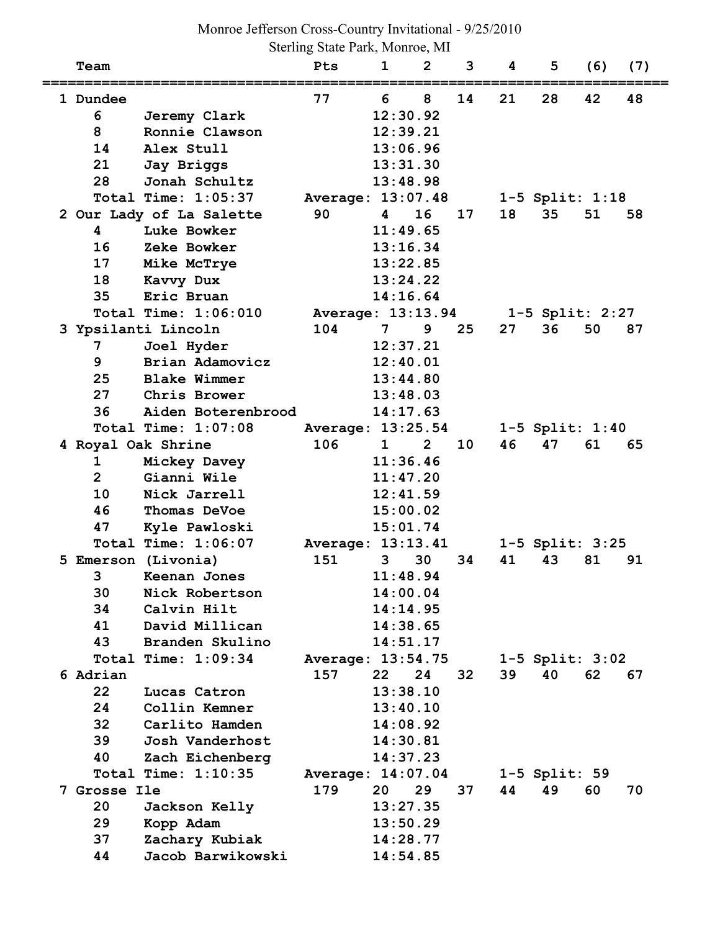Sterling State Park, Monroe, MI

| Team           |                          | Pts               | 1            | 2              | 3  | 4  | 5                   | (6) | (7) |
|----------------|--------------------------|-------------------|--------------|----------------|----|----|---------------------|-----|-----|
| 1 Dundee       |                          | 77                | 6            | 8              | 14 | 21 | 28                  | 42  | 48  |
| 6              | Jeremy Clark             |                   | 12:30.92     |                |    |    |                     |     |     |
| 8              | Ronnie Clawson           |                   | 12:39.21     |                |    |    |                     |     |     |
| 14             | Alex Stull               |                   | 13:06.96     |                |    |    |                     |     |     |
| 21             | Jay Briggs               |                   | 13:31.30     |                |    |    |                     |     |     |
| 28             | Jonah Schultz            |                   | 13:48.98     |                |    |    |                     |     |     |
|                | Total Time: 1:05:37      | Average: 13:07.48 |              |                |    |    | $1-5$ Split: $1:18$ |     |     |
|                | 2 Our Lady of La Salette | 90                | 4            | 16             | 17 | 18 | 35                  | 51  | 58  |
| 4              | Luke Bowker              |                   | 11:49.65     |                |    |    |                     |     |     |
| 16             | Zeke Bowker              |                   | 13:16.34     |                |    |    |                     |     |     |
| 17             | Mike McTrye              |                   | 13:22.85     |                |    |    |                     |     |     |
| 18             | Kavvy Dux                |                   | 13:24.22     |                |    |    |                     |     |     |
| 35             | Eric Bruan               |                   | 14:16.64     |                |    |    |                     |     |     |
|                | Total Time: 1:06:010     | Average: 13:13.94 |              |                |    |    | $1-5$ Split: 2:27   |     |     |
|                | 3 Ypsilanti Lincoln      | 104               | 7            | 9              | 25 | 27 | 36                  | 50  | 87  |
| 7              | Joel Hyder               |                   | 12:37.21     |                |    |    |                     |     |     |
| 9              | Brian Adamovicz          |                   | 12:40.01     |                |    |    |                     |     |     |
| 25             | <b>Blake Wimmer</b>      |                   | 13:44.80     |                |    |    |                     |     |     |
| 27             | Chris Brower             |                   | 13:48.03     |                |    |    |                     |     |     |
| 36             | Aiden Boterenbrood       |                   | 14:17.63     |                |    |    |                     |     |     |
|                | Total Time: 1:07:08      | Average: 13:25.54 |              |                |    |    | $1-5$ Split: $1:40$ |     |     |
|                | 4 Royal Oak Shrine       | 106               | $\mathbf{1}$ | $\overline{2}$ | 10 | 46 | 47                  | 61  | 65  |
| 1              | Mickey Davey             |                   | 11:36.46     |                |    |    |                     |     |     |
| $\overline{2}$ | Gianni Wile              |                   | 11:47.20     |                |    |    |                     |     |     |
| 10             | Nick Jarrell             |                   | 12:41.59     |                |    |    |                     |     |     |
| 46             | Thomas DeVoe             |                   | 15:00.02     |                |    |    |                     |     |     |
| 47             | Kyle Pawloski            |                   | 15:01.74     |                |    |    |                     |     |     |
|                | Total Time: 1:06:07      | Average: 13:13.41 |              |                |    |    | 1-5 Split: 3:25     |     |     |
|                | 5 Emerson (Livonia)      | 151               | 3            | 30             | 34 | 41 | 43                  | 81  | 91  |
| 3              | Keenan Jones             |                   | 11:48.94     |                |    |    |                     |     |     |
| 30             | Nick Robertson           |                   | 14:00.04     |                |    |    |                     |     |     |
| 34             | Calvin Hilt              |                   | 14:14.95     |                |    |    |                     |     |     |
| 41             | David Millican           |                   | 14:38.65     |                |    |    |                     |     |     |
| 43             | Branden Skulino          |                   | 14:51.17     |                |    |    |                     |     |     |
|                | Total Time: 1:09:34      | Average: 13:54.75 |              |                |    |    | $1-5$ Split: $3:02$ |     |     |
| 6 Adrian       |                          | 157               | 22           | 24             | 32 | 39 | 40                  | 62  | 67  |
| 22             | Lucas Catron             |                   | 13:38.10     |                |    |    |                     |     |     |
| 24             | Collin Kemner            |                   | 13:40.10     |                |    |    |                     |     |     |
| 32             | Carlito Hamden           |                   | 14:08.92     |                |    |    |                     |     |     |
| 39             | Josh Vanderhost          |                   | 14:30.81     |                |    |    |                     |     |     |
| 40             | Zach Eichenberg          |                   | 14:37.23     |                |    |    |                     |     |     |
|                | Total Time: 1:10:35      | Average: 14:07.04 |              |                |    |    | $1-5$ Split: 59     |     |     |
| 7 Grosse Ile   |                          | 179               | 20           | 29             | 37 | 44 | 49                  | 60  | 70  |
| 20             | Jackson Kelly            |                   | 13:27.35     |                |    |    |                     |     |     |
| 29             | Kopp Adam                |                   | 13:50.29     |                |    |    |                     |     |     |
| 37             | Zachary Kubiak           |                   | 14:28.77     |                |    |    |                     |     |     |
| 44             | Jacob Barwikowski        |                   | 14:54.85     |                |    |    |                     |     |     |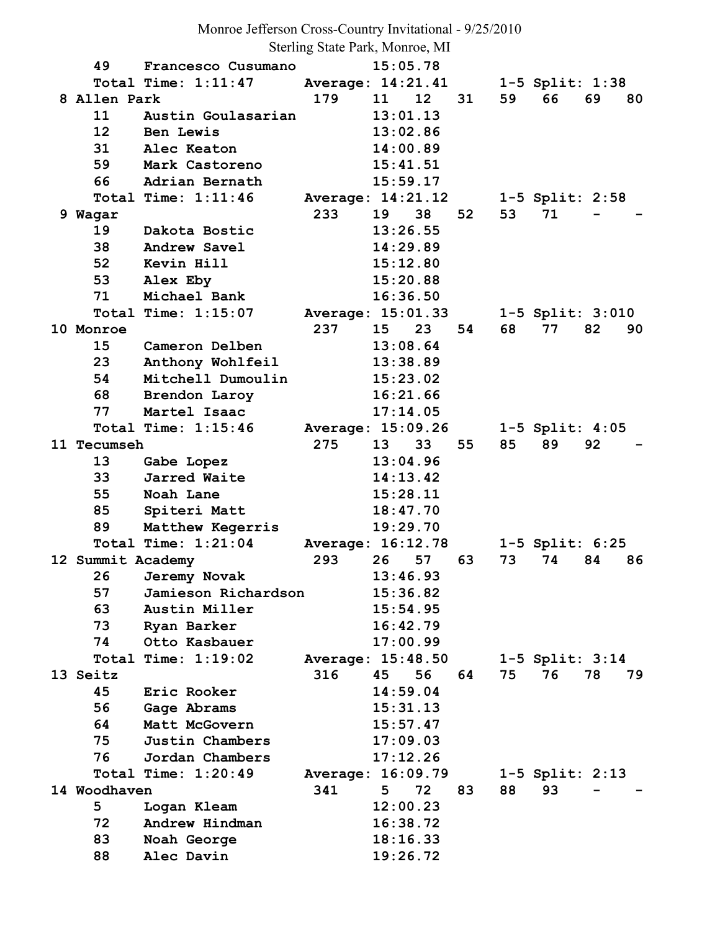Monroe Jefferson Cross-Country Invitational - 9/25/2010

Sterling State Park, Monroe, MI

| 49                 | Francesco Cusumano  |                   | 15:05.78        |                 |    |    |                       |    |    |
|--------------------|---------------------|-------------------|-----------------|-----------------|----|----|-----------------------|----|----|
|                    | Total Time: 1:11:47 | Average: 14:21.41 |                 |                 |    |    | 1-5 Split: 1:38       |    |    |
| 8 Allen Park       |                     | 179               | 11              | 12 <sub>2</sub> | 31 | 59 | 66                    | 69 | 80 |
| 11                 | Austin Goulasarian  |                   | 13:01.13        |                 |    |    |                       |    |    |
| 12 <sup>2</sup>    | Ben Lewis           |                   | 13:02.86        |                 |    |    |                       |    |    |
| 31                 | Alec Keaton         |                   | 14:00.89        |                 |    |    |                       |    |    |
| 59                 | Mark Castoreno      |                   | 15:41.51        |                 |    |    |                       |    |    |
| 66                 | Adrian Bernath      |                   | 15:59.17        |                 |    |    |                       |    |    |
|                    | Total Time: 1:11:46 | Average: 14:21.12 |                 |                 |    |    | $1-5$ Split: 2:58     |    |    |
| 9 Wagar            |                     | 233               | 19              | 38              | 52 | 53 | 71                    |    |    |
| 19                 | Dakota Bostic       |                   | 13:26.55        |                 |    |    |                       |    |    |
| 38                 | Andrew Savel        |                   | 14:29.89        |                 |    |    |                       |    |    |
| 52                 | Kevin Hill          |                   | 15:12.80        |                 |    |    |                       |    |    |
| 53                 | Alex Eby            |                   | 15:20.88        |                 |    |    |                       |    |    |
| 71                 | Michael Bank        |                   | 16:36.50        |                 |    |    |                       |    |    |
|                    | Total Time: 1:15:07 | Average: 15:01.33 |                 |                 |    |    | $1-5$ Split: $3:010$  |    |    |
| 10 Monroe          |                     | 237               | 15              | 23              | 54 | 68 | 77                    | 82 | 90 |
| 15                 | Cameron Delben      |                   | 13:08.64        |                 |    |    |                       |    |    |
| 23                 | Anthony Wohlfeil    |                   | 13:38.89        |                 |    |    |                       |    |    |
| 54                 | Mitchell Dumoulin   |                   | 15:23.02        |                 |    |    |                       |    |    |
| 68                 | Brendon Laroy       |                   | 16:21.66        |                 |    |    |                       |    |    |
| 77                 | Martel Isaac        |                   | 17:14.05        |                 |    |    |                       |    |    |
|                    | Total Time: 1:15:46 | Average: 15:09.26 |                 |                 |    |    | $1-5$ Split: $4:05$   |    |    |
| <b>11 Tecumseh</b> |                     | 275               | 13 <sup>°</sup> | 33              | 55 | 85 | 89                    | 92 |    |
| 13                 | Gabe Lopez          |                   | 13:04.96        |                 |    |    |                       |    |    |
| 33                 | Jarred Waite        |                   | 14:13.42        |                 |    |    |                       |    |    |
| 55                 | Noah Lane           |                   | 15:28.11        |                 |    |    |                       |    |    |
| 85                 | Spiteri Matt        |                   | 18:47.70        |                 |    |    |                       |    |    |
| 89                 | Matthew Kegerris    |                   | 19:29.70        |                 |    |    |                       |    |    |
|                    | Total Time: 1:21:04 | Average: 16:12.78 |                 |                 |    |    | $1 - 5$ Split: $6:25$ |    |    |
| 12 Summit Academy  |                     | 293               | 26              | 57              | 63 | 73 | 74                    | 84 | 86 |
| 26                 | Jeremy Novak        |                   | 13:46.93        |                 |    |    |                       |    |    |
| 57                 | Jamieson Richardson |                   | 15:36.82        |                 |    |    |                       |    |    |
| 63                 | Austin Miller       |                   | 15:54.95        |                 |    |    |                       |    |    |
| 73                 | Ryan Barker         |                   | 16:42.79        |                 |    |    |                       |    |    |
| 74                 | Otto Kasbauer       |                   | 17:00.99        |                 |    |    |                       |    |    |
|                    | Total Time: 1:19:02 | Average: 15:48.50 |                 |                 |    |    | $1-5$ Split: $3:14$   |    |    |
| 13 Seitz           |                     | 316               | 45              | 56              | 64 | 75 | 76                    | 78 | 79 |
| 45                 | Eric Rooker         |                   | 14:59.04        |                 |    |    |                       |    |    |
| 56                 | Gage Abrams         |                   | 15:31.13        |                 |    |    |                       |    |    |
| 64                 | Matt McGovern       |                   | 15:57.47        |                 |    |    |                       |    |    |
| 75                 | Justin Chambers     |                   | 17:09.03        |                 |    |    |                       |    |    |
| 76                 | Jordan Chambers     |                   | 17:12.26        |                 |    |    |                       |    |    |
|                    | Total Time: 1:20:49 | Average: 16:09.79 |                 |                 |    |    | $1-5$ Split: $2:13$   |    |    |
| 14 Woodhaven       |                     | 341               | 5               | 72              | 83 | 88 | 93                    |    |    |
| 5                  | Logan Kleam         |                   | 12:00.23        |                 |    |    |                       |    |    |
| 72                 | Andrew Hindman      |                   | 16:38.72        |                 |    |    |                       |    |    |
| 83                 | Noah George         |                   | 18:16.33        |                 |    |    |                       |    |    |
| 88                 | Alec Davin          |                   | 19:26.72        |                 |    |    |                       |    |    |